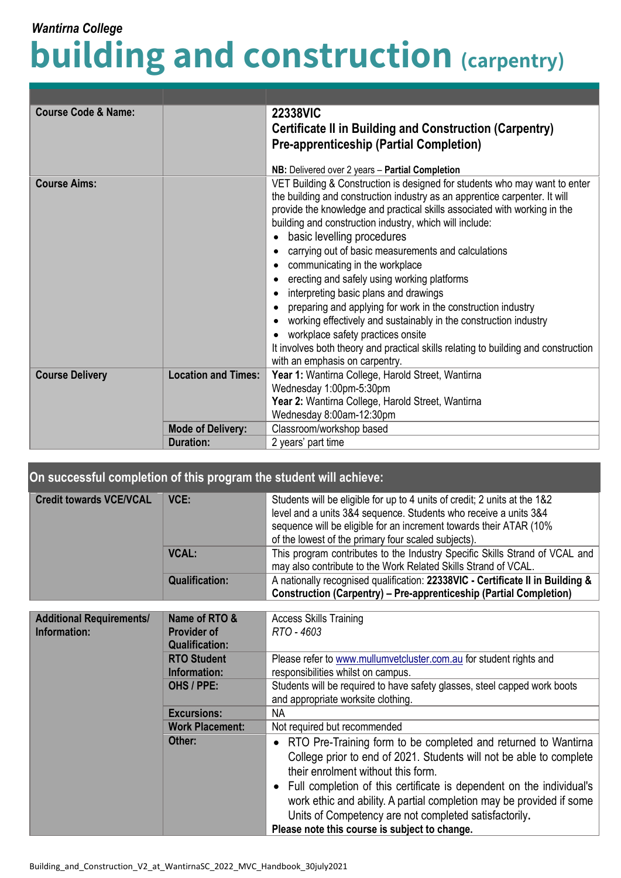## **building and construction (carpentry)** *Wantirna College*

| <b>Course Code &amp; Name:</b>                       |                          | <b>22338VIC</b><br><b>Certificate II in Building and Construction (Carpentry)</b><br><b>Pre-apprenticeship (Partial Completion)</b><br>NB: Delivered over 2 years - Partial Completion                                                                                                                                                                                                                                                                                                                                                                                                                                                                                                                                                                                                                                                     |
|------------------------------------------------------|--------------------------|--------------------------------------------------------------------------------------------------------------------------------------------------------------------------------------------------------------------------------------------------------------------------------------------------------------------------------------------------------------------------------------------------------------------------------------------------------------------------------------------------------------------------------------------------------------------------------------------------------------------------------------------------------------------------------------------------------------------------------------------------------------------------------------------------------------------------------------------|
| <b>Course Aims:</b>                                  |                          | VET Building & Construction is designed for students who may want to enter<br>the building and construction industry as an apprentice carpenter. It will<br>provide the knowledge and practical skills associated with working in the<br>building and construction industry, which will include:<br>basic levelling procedures<br>carrying out of basic measurements and calculations<br>communicating in the workplace<br>erecting and safely using working platforms<br>interpreting basic plans and drawings<br>$\bullet$<br>preparing and applying for work in the construction industry<br>working effectively and sustainably in the construction industry<br>workplace safety practices onsite<br>$\bullet$<br>It involves both theory and practical skills relating to building and construction<br>with an emphasis on carpentry. |
| <b>Location and Times:</b><br><b>Course Delivery</b> |                          | Year 1: Wantirna College, Harold Street, Wantirna<br>Wednesday 1:00pm-5:30pm<br>Year 2: Wantirna College, Harold Street, Wantirna<br>Wednesday 8:00am-12:30pm                                                                                                                                                                                                                                                                                                                                                                                                                                                                                                                                                                                                                                                                              |
|                                                      | <b>Mode of Delivery:</b> | Classroom/workshop based                                                                                                                                                                                                                                                                                                                                                                                                                                                                                                                                                                                                                                                                                                                                                                                                                   |
|                                                      | <b>Duration:</b>         | 2 years' part time                                                                                                                                                                                                                                                                                                                                                                                                                                                                                                                                                                                                                                                                                                                                                                                                                         |

## **On successful completion of this program the student will achieve:**

| <b>Credit towards VCE/VCAL</b> | VCE:                                                | Students will be eligible for up to 4 units of credit; 2 units at the 1&2      |
|--------------------------------|-----------------------------------------------------|--------------------------------------------------------------------------------|
|                                |                                                     | level and a units 3&4 sequence. Students who receive a units 3&4               |
|                                |                                                     | sequence will be eligible for an increment towards their ATAR (10%             |
|                                | of the lowest of the primary four scaled subjects). |                                                                                |
|                                | <b>VCAL:</b>                                        | This program contributes to the Industry Specific Skills Strand of VCAL and    |
|                                |                                                     | may also contribute to the Work Related Skills Strand of VCAL.                 |
|                                | <b>Qualification:</b>                               | A nationally recognised qualification: 22338VIC - Certificate II in Building & |
|                                |                                                     | <b>Construction (Carpentry) - Pre-apprenticeship (Partial Completion)</b>      |

| Name of RTO &<br><b>Additional Requirements/</b><br>Information:<br><b>Provider of</b><br><b>Qualification:</b> |                                    | <b>Access Skills Training</b><br>RTO - 4603                                                                                                                                                                                                                                                                                                                                                                                               |  |
|-----------------------------------------------------------------------------------------------------------------|------------------------------------|-------------------------------------------------------------------------------------------------------------------------------------------------------------------------------------------------------------------------------------------------------------------------------------------------------------------------------------------------------------------------------------------------------------------------------------------|--|
|                                                                                                                 | <b>RTO Student</b><br>Information: | Please refer to www.mullumvetcluster.com.au for student rights and<br>responsibilities whilst on campus.                                                                                                                                                                                                                                                                                                                                  |  |
|                                                                                                                 | OHS / PPE:                         | Students will be required to have safety glasses, steel capped work boots<br>and appropriate worksite clothing.                                                                                                                                                                                                                                                                                                                           |  |
|                                                                                                                 | <b>Excursions:</b>                 | NA.                                                                                                                                                                                                                                                                                                                                                                                                                                       |  |
|                                                                                                                 | <b>Work Placement:</b>             | Not required but recommended                                                                                                                                                                                                                                                                                                                                                                                                              |  |
|                                                                                                                 | Other:                             | • RTO Pre-Training form to be completed and returned to Wantirna<br>College prior to end of 2021. Students will not be able to complete<br>their enrolment without this form.<br>• Full completion of this certificate is dependent on the individual's<br>work ethic and ability. A partial completion may be provided if some<br>Units of Competency are not completed satisfactorily.<br>Please note this course is subject to change. |  |